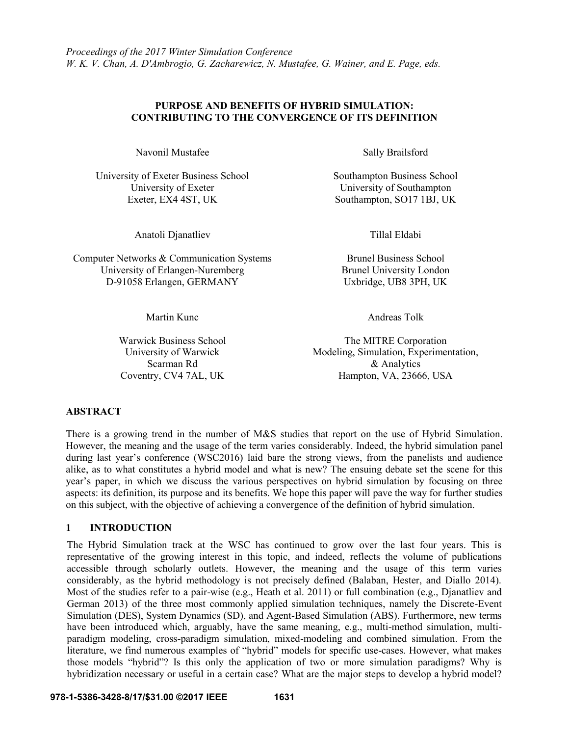### **PURPOSE AND BENEFITS OF HYBRID SIMULATION: CONTRIBUTING TO THE CONVERGENCE OF ITS DEFINITION**

Navonil Mustafee Sally Brailsford

University of Exeter Business School Southampton Business School University of Exeter University of Southampton

Anatoli Djanatliev Tillal Eldabi

Computer Networks & Communication Systems Brunel Business School University of Erlangen-Nuremberg Brunel University London D-91058 Erlangen, GERMANY Uxbridge, UB8 3PH, UK

Exeter, EX4 4ST, UK Southampton, SO17 1BJ, UK

Martin Kunc **Andreas Tolk** 

University of Warwick Scarman Rd

Warwick Business School The MITRE Corporation Modeling, Simulation, Experimentation, & Analytics Coventry, CV4 7AL, UK Hampton, VA, 23666, USA

# **ABSTRACT**

There is a growing trend in the number of M&S studies that report on the use of Hybrid Simulation. However, the meaning and the usage of the term varies considerably. Indeed, the hybrid simulation panel during last year's conference (WSC2016) laid bare the strong views, from the panelists and audience alike, as to what constitutes a hybrid model and what is new? The ensuing debate set the scene for this year's paper, in which we discuss the various perspectives on hybrid simulation by focusing on three aspects: its definition, its purpose and its benefits. We hope this paper will pave the way for further studies on this subject, with the objective of achieving a convergence of the definition of hybrid simulation.

# **1 INTRODUCTION**

The Hybrid Simulation track at the WSC has continued to grow over the last four years. This is representative of the growing interest in this topic, and indeed, reflects the volume of publications accessible through scholarly outlets. However, the meaning and the usage of this term varies considerably, as the hybrid methodology is not precisely defined (Balaban, Hester, and Diallo 2014). Most of the studies refer to a pair-wise (e.g., Heath et al. 2011) or full combination (e.g., Djanatliev and German 2013) of the three most commonly applied simulation techniques, namely the Discrete-Event Simulation (DES), System Dynamics (SD), and Agent-Based Simulation (ABS). Furthermore, new terms have been introduced which, arguably, have the same meaning, e.g., multi-method simulation, multiparadigm modeling, cross-paradigm simulation, mixed-modeling and combined simulation. From the literature, we find numerous examples of "hybrid" models for specific use-cases. However, what makes those models "hybrid"? Is this only the application of two or more simulation paradigms? Why is hybridization necessary or useful in a certain case? What are the major steps to develop a hybrid model?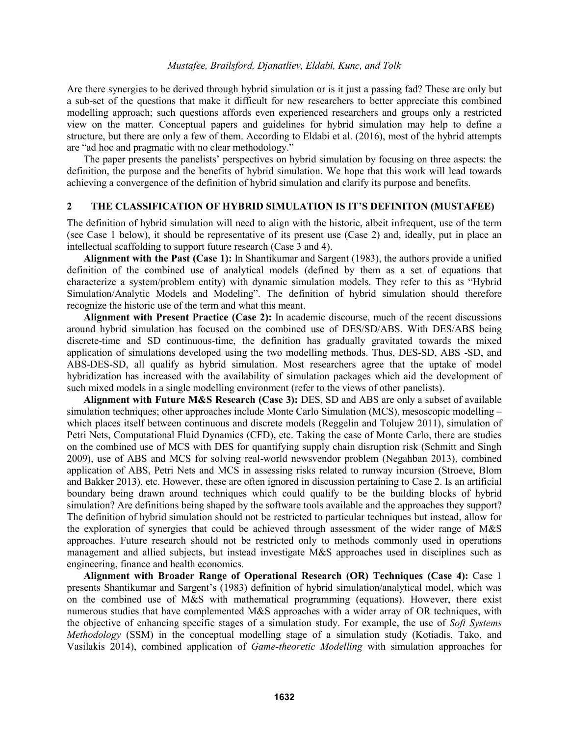Are there synergies to be derived through hybrid simulation or is it just a passing fad? These are only but a sub-set of the questions that make it difficult for new researchers to better appreciate this combined modelling approach; such questions affords even experienced researchers and groups only a restricted view on the matter. Conceptual papers and guidelines for hybrid simulation may help to define a structure, but there are only a few of them. According to Eldabi et al. (2016), most of the hybrid attempts are "ad hoc and pragmatic with no clear methodology."

The paper presents the panelists' perspectives on hybrid simulation by focusing on three aspects: the definition, the purpose and the benefits of hybrid simulation. We hope that this work will lead towards achieving a convergence of the definition of hybrid simulation and clarify its purpose and benefits.

## **2 THE CLASSIFICATION OF HYBRID SIMULATION IS IT'S DEFINITON (MUSTAFEE)**

The definition of hybrid simulation will need to align with the historic, albeit infrequent, use of the term (see Case 1 below), it should be representative of its present use (Case 2) and, ideally, put in place an intellectual scaffolding to support future research (Case 3 and 4).

**Alignment with the Past (Case 1):** In Shantikumar and Sargent (1983), the authors provide a unified definition of the combined use of analytical models (defined by them as a set of equations that characterize a system/problem entity) with dynamic simulation models. They refer to this as "Hybrid Simulation/Analytic Models and Modeling". The definition of hybrid simulation should therefore recognize the historic use of the term and what this meant.

**Alignment with Present Practice (Case 2):** In academic discourse, much of the recent discussions around hybrid simulation has focused on the combined use of DES/SD/ABS. With DES/ABS being discrete-time and SD continuous-time, the definition has gradually gravitated towards the mixed application of simulations developed using the two modelling methods. Thus, DES-SD, ABS -SD, and ABS-DES-SD, all qualify as hybrid simulation. Most researchers agree that the uptake of model hybridization has increased with the availability of simulation packages which aid the development of such mixed models in a single modelling environment (refer to the views of other panelists).

**Alignment with Future M&S Research (Case 3):** DES, SD and ABS are only a subset of available simulation techniques; other approaches include Monte Carlo Simulation (MCS), mesoscopic modelling – which places itself between continuous and discrete models (Reggelin and Tolujew 2011), simulation of Petri Nets, Computational Fluid Dynamics (CFD), etc. Taking the case of Monte Carlo, there are studies on the combined use of MCS with DES for quantifying supply chain disruption risk (Schmitt and Singh 2009), use of ABS and MCS for solving real-world newsvendor problem (Negahban 2013), combined application of ABS, Petri Nets and MCS in assessing risks related to runway incursion (Stroeve, Blom and Bakker 2013), etc. However, these are often ignored in discussion pertaining to Case 2. Is an artificial boundary being drawn around techniques which could qualify to be the building blocks of hybrid simulation? Are definitions being shaped by the software tools available and the approaches they support? The definition of hybrid simulation should not be restricted to particular techniques but instead, allow for the exploration of synergies that could be achieved through assessment of the wider range of M&S approaches. Future research should not be restricted only to methods commonly used in operations management and allied subjects, but instead investigate M&S approaches used in disciplines such as engineering, finance and health economics.

**Alignment with Broader Range of Operational Research (OR) Techniques (Case 4):** Case 1 presents Shantikumar and Sargent's (1983) definition of hybrid simulation/analytical model, which was on the combined use of M&S with mathematical programming (equations). However, there exist numerous studies that have complemented M&S approaches with a wider array of OR techniques, with the objective of enhancing specific stages of a simulation study. For example, the use of *Soft Systems Methodology* (SSM) in the conceptual modelling stage of a simulation study (Kotiadis, Tako, and Vasilakis 2014), combined application of *Game-theoretic Modelling* with simulation approaches for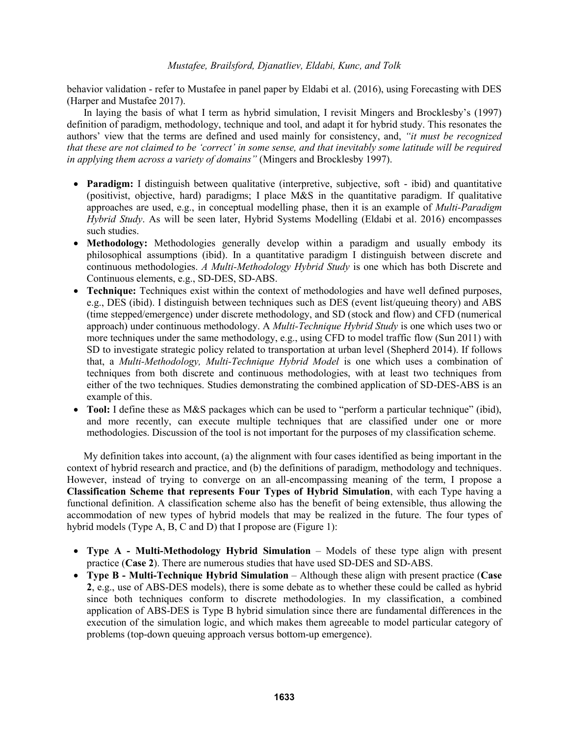behavior validation - refer to Mustafee in panel paper by Eldabi et al. (2016), using Forecasting with DES (Harper and Mustafee 2017).

In laying the basis of what I term as hybrid simulation, I revisit Mingers and Brocklesby's (1997) definition of paradigm, methodology, technique and tool, and adapt it for hybrid study. This resonates the authors' view that the terms are defined and used mainly for consistency, and, *"it must be recognized that these are not claimed to be 'correct' in some sense, and that inevitably some latitude will be required in applying them across a variety of domains"* (Mingers and Brocklesby 1997).

- **Paradigm:** I distinguish between qualitative (interpretive, subjective, soft ibid) and quantitative (positivist, objective, hard) paradigms; I place M&S in the quantitative paradigm. If qualitative approaches are used, e.g., in conceptual modelling phase, then it is an example of *Multi-Paradigm Hybrid Study*. As will be seen later, Hybrid Systems Modelling (Eldabi et al. 2016) encompasses such studies.
- **Methodology:** Methodologies generally develop within a paradigm and usually embody its philosophical assumptions (ibid). In a quantitative paradigm I distinguish between discrete and continuous methodologies. *A Multi-Methodology Hybrid Study* is one which has both Discrete and Continuous elements, e.g., SD-DES, SD-ABS.
- **Technique:** Techniques exist within the context of methodologies and have well defined purposes, e.g., DES (ibid). I distinguish between techniques such as DES (event list/queuing theory) and ABS (time stepped/emergence) under discrete methodology, and SD (stock and flow) and CFD (numerical approach) under continuous methodology. A *Multi-Technique Hybrid Study* is one which uses two or more techniques under the same methodology, e.g., using CFD to model traffic flow (Sun 2011) with SD to investigate strategic policy related to transportation at urban level (Shepherd 2014). If follows that, a *Multi-Methodology, Multi-Technique Hybrid Model* is one which uses a combination of techniques from both discrete and continuous methodologies, with at least two techniques from either of the two techniques. Studies demonstrating the combined application of SD-DES-ABS is an example of this.
- **Tool:** I define these as M&S packages which can be used to "perform a particular technique" (ibid), and more recently, can execute multiple techniques that are classified under one or more methodologies. Discussion of the tool is not important for the purposes of my classification scheme.

My definition takes into account, (a) the alignment with four cases identified as being important in the context of hybrid research and practice, and (b) the definitions of paradigm, methodology and techniques. However, instead of trying to converge on an all-encompassing meaning of the term, I propose a **Classification Scheme that represents Four Types of Hybrid Simulation**, with each Type having a functional definition. A classification scheme also has the benefit of being extensible, thus allowing the accommodation of new types of hybrid models that may be realized in the future. The four types of hybrid models (Type A, B, C and D) that I propose are (Figure 1):

- **Type A - Multi-Methodology Hybrid Simulation** Models of these type align with present practice (**Case 2**). There are numerous studies that have used SD-DES and SD-ABS.
- **Type B - Multi-Technique Hybrid Simulation** Although these align with present practice (**Case 2**, e.g., use of ABS-DES models), there is some debate as to whether these could be called as hybrid since both techniques conform to discrete methodologies. In my classification, a combined application of ABS-DES is Type B hybrid simulation since there are fundamental differences in the execution of the simulation logic, and which makes them agreeable to model particular category of problems (top-down queuing approach versus bottom-up emergence).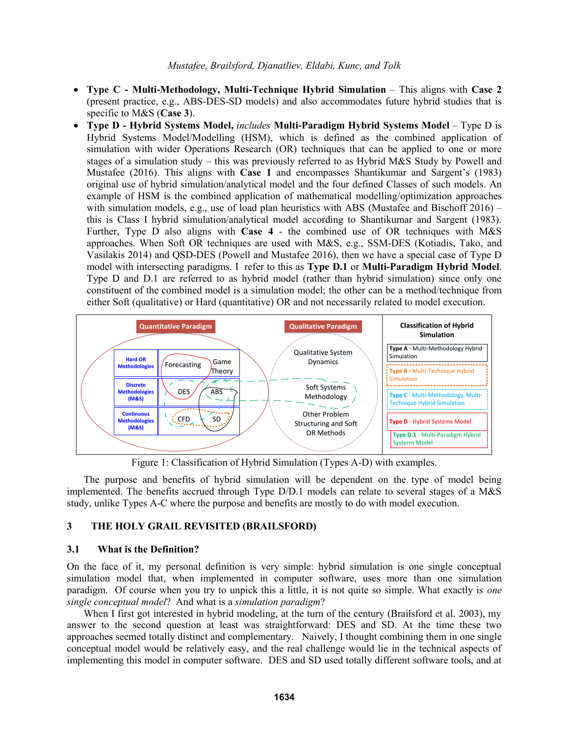- **Type C - Multi-Methodology, Multi-Technique Hybrid Simulation** This aligns with **Case 2** (present practice, e.g., ABS-DES-SD models) and also accommodates future hybrid studies that is specific to M&S (**Case 3**).
- **Type D - Hybrid Systems Model,** *includes* **Multi-Paradigm Hybrid Systems Model** Type D is Hybrid Systems Model/Modelling (HSM), which is defined as the combined application of simulation with wider Operations Research (OR) techniques that can be applied to one or more stages of a simulation study – this was previously referred to as Hybrid M&S Study by Powell and Mustafee (2016). This aligns with **Case 1** and encompasses Shantikumar and Sargent's (1983) original use of hybrid simulation/analytical model and the four defined Classes of such models. An example of HSM is the combined application of mathematical modelling/optimization approaches with simulation models, e.g., use of load plan heuristics with ABS (Mustafee and Bischoff  $2016$ ) – this is Class I hybrid simulation/analytical model according to Shantikumar and Sargent (1983). Further, Type D also aligns with **Case 4** - the combined use of OR techniques with M&S approaches. When Soft OR techniques are used with M&S, e.g., SSM-DES (Kotiadis, Tako, and Vasilakis 2014) and QSD-DES (Powell and Mustafee 2016), then we have a special case of Type D model with intersecting paradigms. I refer to this as **Type D.1** or **Multi-Paradigm Hybrid Model**. Type D and D.1 are referred to as hybrid model (rather than hybrid simulation) since only one constituent of the combined model is a simulation model; the other can be a method/technique from either Soft (qualitative) or Hard (quantitative) OR and not necessarily related to model execution.



Figure 1: Classification of Hybrid Simulation (Types A-D) with examples.

The purpose and benefits of hybrid simulation will be dependent on the type of model being implemented. The benefits accrued through Type D/D.1 models can relate to several stages of a M&S study, unlike Types A-C where the purpose and benefits are mostly to do with model execution.

## **3 THE HOLY GRAIL REVISITED (BRAILSFORD)**

### **3.1 What is the Definition?**

On the face of it, my personal definition is very simple: hybrid simulation is one single conceptual simulation model that, when implemented in computer software, uses more than one simulation paradigm. Of course when you try to unpick this a little, it is not quite so simple. What exactly is *one single conceptual model*? And what is a *simulation paradigm*?

When I first got interested in hybrid modeling, at the turn of the century (Brailsford et al. 2003), my answer to the second question at least was straightforward: DES and SD. At the time these two approaches seemed totally distinct and complementary. Naively, I thought combining them in one single conceptual model would be relatively easy, and the real challenge would lie in the technical aspects of implementing this model in computer software. DES and SD used totally different software tools, and at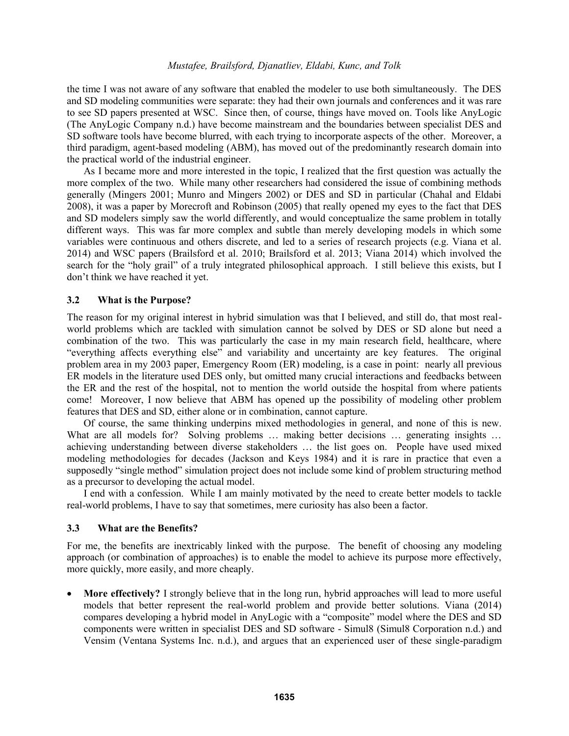the time I was not aware of any software that enabled the modeler to use both simultaneously. The DES and SD modeling communities were separate: they had their own journals and conferences and it was rare to see SD papers presented at WSC. Since then, of course, things have moved on. Tools like AnyLogic (The AnyLogic Company n.d.) have become mainstream and the boundaries between specialist DES and SD software tools have become blurred, with each trying to incorporate aspects of the other. Moreover, a third paradigm, agent-based modeling (ABM), has moved out of the predominantly research domain into the practical world of the industrial engineer.

As I became more and more interested in the topic, I realized that the first question was actually the more complex of the two. While many other researchers had considered the issue of combining methods generally (Mingers 2001; Munro and Mingers 2002) or DES and SD in particular (Chahal and Eldabi 2008), it was a paper by Morecroft and Robinson (2005) that really opened my eyes to the fact that DES and SD modelers simply saw the world differently, and would conceptualize the same problem in totally different ways. This was far more complex and subtle than merely developing models in which some variables were continuous and others discrete, and led to a series of research projects (e.g. Viana et al. 2014) and WSC papers (Brailsford et al. 2010; Brailsford et al. 2013; Viana 2014) which involved the search for the "holy grail" of a truly integrated philosophical approach. I still believe this exists, but I don't think we have reached it yet.

#### **3.2 What is the Purpose?**

The reason for my original interest in hybrid simulation was that I believed, and still do, that most realworld problems which are tackled with simulation cannot be solved by DES or SD alone but need a combination of the two. This was particularly the case in my main research field, healthcare, where "everything affects everything else" and variability and uncertainty are key features. The original problem area in my 2003 paper, Emergency Room (ER) modeling, is a case in point: nearly all previous ER models in the literature used DES only, but omitted many crucial interactions and feedbacks between the ER and the rest of the hospital, not to mention the world outside the hospital from where patients come! Moreover, I now believe that ABM has opened up the possibility of modeling other problem features that DES and SD, either alone or in combination, cannot capture.

Of course, the same thinking underpins mixed methodologies in general, and none of this is new. What are all models for? Solving problems ... making better decisions ... generating insights ... achieving understanding between diverse stakeholders … the list goes on. People have used mixed modeling methodologies for decades (Jackson and Keys 1984) and it is rare in practice that even a supposedly "single method" simulation project does not include some kind of problem structuring method as a precursor to developing the actual model.

I end with a confession. While I am mainly motivated by the need to create better models to tackle real-world problems, I have to say that sometimes, mere curiosity has also been a factor.

#### **3.3 What are the Benefits?**

For me, the benefits are inextricably linked with the purpose. The benefit of choosing any modeling approach (or combination of approaches) is to enable the model to achieve its purpose more effectively, more quickly, more easily, and more cheaply.

 **More effectively?** I strongly believe that in the long run, hybrid approaches will lead to more useful models that better represent the real-world problem and provide better solutions. Viana (2014) compares developing a hybrid model in AnyLogic with a "composite" model where the DES and SD components were written in specialist DES and SD software - Simul8 (Simul8 Corporation n.d.) and Vensim (Ventana Systems Inc. n.d.), and argues that an experienced user of these single-paradigm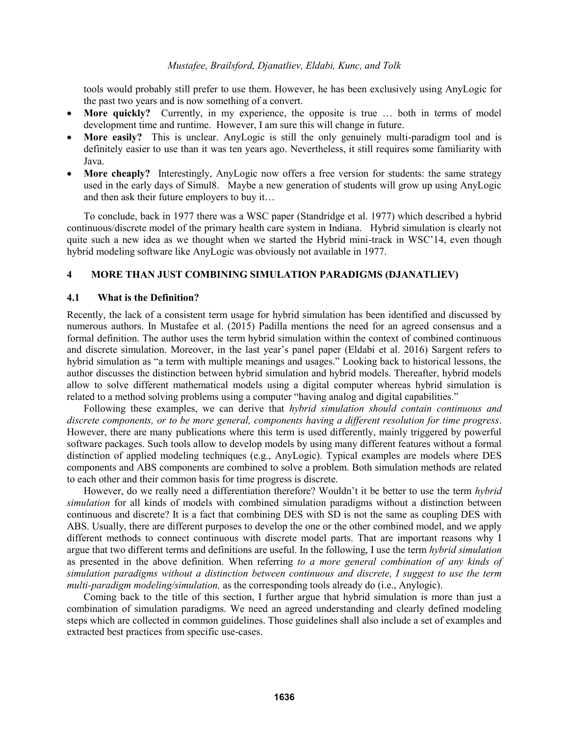tools would probably still prefer to use them. However, he has been exclusively using AnyLogic for the past two years and is now something of a convert.

- **More quickly?** Currently, in my experience, the opposite is true … both in terms of model development time and runtime. However, I am sure this will change in future.
- **More easily?** This is unclear. AnyLogic is still the only genuinely multi-paradigm tool and is definitely easier to use than it was ten years ago. Nevertheless, it still requires some familiarity with Java.
- **More cheaply?** Interestingly, AnyLogic now offers a free version for students: the same strategy used in the early days of Simul8. Maybe a new generation of students will grow up using AnyLogic and then ask their future employers to buy it…

To conclude, back in 1977 there was a WSC paper (Standridge et al. 1977) which described a hybrid continuous/discrete model of the primary health care system in Indiana. Hybrid simulation is clearly not quite such a new idea as we thought when we started the Hybrid mini-track in WSC'14, even though hybrid modeling software like AnyLogic was obviously not available in 1977.

### **4 MORE THAN JUST COMBINING SIMULATION PARADIGMS (DJANATLIEV)**

#### **4.1 What is the Definition?**

Recently, the lack of a consistent term usage for hybrid simulation has been identified and discussed by numerous authors. In Mustafee et al. (2015) Padilla mentions the need for an agreed consensus and a formal definition. The author uses the term hybrid simulation within the context of combined continuous and discrete simulation. Moreover, in the last year's panel paper (Eldabi et al. 2016) Sargent refers to hybrid simulation as "a term with multiple meanings and usages." Looking back to historical lessons, the author discusses the distinction between hybrid simulation and hybrid models. Thereafter, hybrid models allow to solve different mathematical models using a digital computer whereas hybrid simulation is related to a method solving problems using a computer "having analog and digital capabilities."

Following these examples, we can derive that *hybrid simulation should contain continuous and discrete components, or to be more general, components having a different resolution for time progress*. However, there are many publications where this term is used differently, mainly triggered by powerful software packages. Such tools allow to develop models by using many different features without a formal distinction of applied modeling techniques (e.g., AnyLogic). Typical examples are models where DES components and ABS components are combined to solve a problem. Both simulation methods are related to each other and their common basis for time progress is discrete.

However, do we really need a differentiation therefore? Wouldn't it be better to use the term *hybrid simulation* for all kinds of models with combined simulation paradigms without a distinction between continuous and discrete? It is a fact that combining DES with SD is not the same as coupling DES with ABS. Usually, there are different purposes to develop the one or the other combined model, and we apply different methods to connect continuous with discrete model parts. That are important reasons why I argue that two different terms and definitions are useful. In the following, I use the term *hybrid simulation* as presented in the above definition. When referring *to a more general combination of any kinds of simulation paradigms without a distinction between continuous and discrete, I suggest to use the term multi-paradigm modeling/simulation,* as the corresponding tools already do (i.e., Anylogic).

Coming back to the title of this section, I further argue that hybrid simulation is more than just a combination of simulation paradigms. We need an agreed understanding and clearly defined modeling steps which are collected in common guidelines. Those guidelines shall also include a set of examples and extracted best practices from specific use-cases.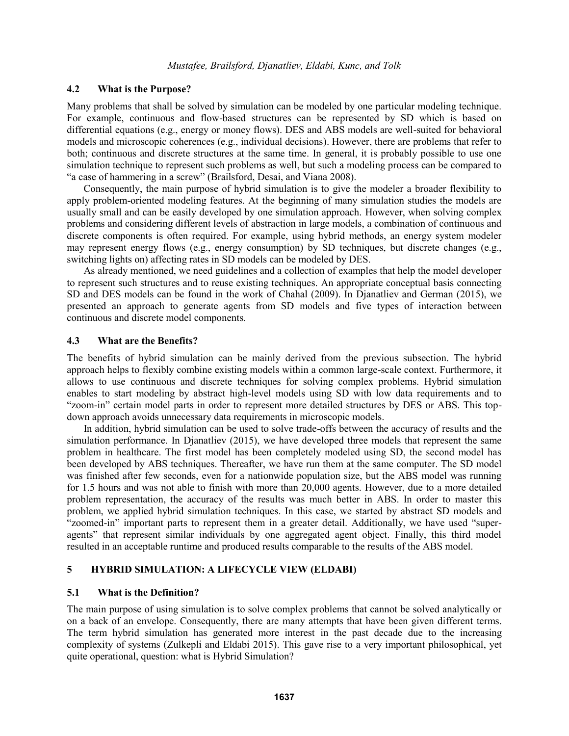## **4.2 What is the Purpose?**

Many problems that shall be solved by simulation can be modeled by one particular modeling technique. For example, continuous and flow-based structures can be represented by SD which is based on differential equations (e.g., energy or money flows). DES and ABS models are well-suited for behavioral models and microscopic coherences (e.g., individual decisions). However, there are problems that refer to both; continuous and discrete structures at the same time. In general, it is probably possible to use one simulation technique to represent such problems as well, but such a modeling process can be compared to "a case of hammering in a screw" (Brailsford, Desai, and Viana 2008).

Consequently, the main purpose of hybrid simulation is to give the modeler a broader flexibility to apply problem-oriented modeling features. At the beginning of many simulation studies the models are usually small and can be easily developed by one simulation approach. However, when solving complex problems and considering different levels of abstraction in large models, a combination of continuous and discrete components is often required. For example, using hybrid methods, an energy system modeler may represent energy flows (e.g., energy consumption) by SD techniques, but discrete changes (e.g., switching lights on) affecting rates in SD models can be modeled by DES.

As already mentioned, we need guidelines and a collection of examples that help the model developer to represent such structures and to reuse existing techniques. An appropriate conceptual basis connecting SD and DES models can be found in the work of Chahal (2009). In Djanatliev and German (2015), we presented an approach to generate agents from SD models and five types of interaction between continuous and discrete model components.

### **4.3 What are the Benefits?**

The benefits of hybrid simulation can be mainly derived from the previous subsection. The hybrid approach helps to flexibly combine existing models within a common large-scale context. Furthermore, it allows to use continuous and discrete techniques for solving complex problems. Hybrid simulation enables to start modeling by abstract high-level models using SD with low data requirements and to "zoom-in" certain model parts in order to represent more detailed structures by DES or ABS. This topdown approach avoids unnecessary data requirements in microscopic models.

In addition, hybrid simulation can be used to solve trade-offs between the accuracy of results and the simulation performance. In Djanatliev (2015), we have developed three models that represent the same problem in healthcare. The first model has been completely modeled using SD, the second model has been developed by ABS techniques. Thereafter, we have run them at the same computer. The SD model was finished after few seconds, even for a nationwide population size, but the ABS model was running for 1.5 hours and was not able to finish with more than 20,000 agents. However, due to a more detailed problem representation, the accuracy of the results was much better in ABS. In order to master this problem, we applied hybrid simulation techniques. In this case, we started by abstract SD models and "zoomed-in" important parts to represent them in a greater detail. Additionally, we have used "superagents" that represent similar individuals by one aggregated agent object. Finally, this third model resulted in an acceptable runtime and produced results comparable to the results of the ABS model.

## **5 HYBRID SIMULATION: A LIFECYCLE VIEW (ELDABI)**

### **5.1 What is the Definition?**

The main purpose of using simulation is to solve complex problems that cannot be solved analytically or on a back of an envelope. Consequently, there are many attempts that have been given different terms. The term hybrid simulation has generated more interest in the past decade due to the increasing complexity of systems (Zulkepli and Eldabi 2015). This gave rise to a very important philosophical, yet quite operational, question: what is Hybrid Simulation?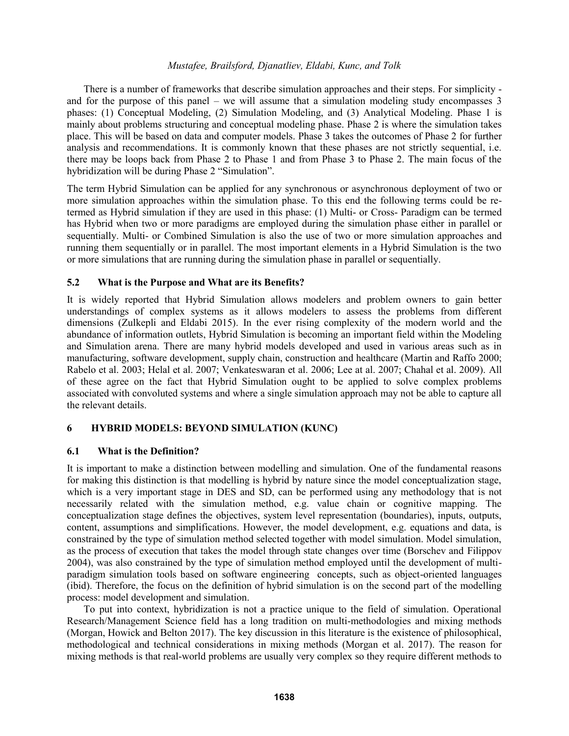There is a number of frameworks that describe simulation approaches and their steps. For simplicity and for the purpose of this panel – we will assume that a simulation modeling study encompasses 3 phases: (1) Conceptual Modeling, (2) Simulation Modeling, and (3) Analytical Modeling. Phase 1 is mainly about problems structuring and conceptual modeling phase. Phase 2 is where the simulation takes place. This will be based on data and computer models. Phase 3 takes the outcomes of Phase 2 for further analysis and recommendations. It is commonly known that these phases are not strictly sequential, i.e. there may be loops back from Phase 2 to Phase 1 and from Phase 3 to Phase 2. The main focus of the hybridization will be during Phase 2 "Simulation".

The term Hybrid Simulation can be applied for any synchronous or asynchronous deployment of two or more simulation approaches within the simulation phase. To this end the following terms could be retermed as Hybrid simulation if they are used in this phase: (1) Multi- or Cross- Paradigm can be termed has Hybrid when two or more paradigms are employed during the simulation phase either in parallel or sequentially. Multi- or Combined Simulation is also the use of two or more simulation approaches and running them sequentially or in parallel. The most important elements in a Hybrid Simulation is the two or more simulations that are running during the simulation phase in parallel or sequentially.

## **5.2 What is the Purpose and What are its Benefits?**

It is widely reported that Hybrid Simulation allows modelers and problem owners to gain better understandings of complex systems as it allows modelers to assess the problems from different dimensions (Zulkepli and Eldabi 2015). In the ever rising complexity of the modern world and the abundance of information outlets, Hybrid Simulation is becoming an important field within the Modeling and Simulation arena. There are many hybrid models developed and used in various areas such as in manufacturing, software development, supply chain, construction and healthcare (Martin and Raffo 2000; Rabelo et al. 2003; Helal et al. 2007; Venkateswaran et al. 2006; Lee at al. 2007; Chahal et al. 2009). All of these agree on the fact that Hybrid Simulation ought to be applied to solve complex problems associated with convoluted systems and where a single simulation approach may not be able to capture all the relevant details.

## **6 HYBRID MODELS: BEYOND SIMULATION (KUNC)**

### **6.1 What is the Definition?**

It is important to make a distinction between modelling and simulation. One of the fundamental reasons for making this distinction is that modelling is hybrid by nature since the model conceptualization stage, which is a very important stage in DES and SD, can be performed using any methodology that is not necessarily related with the simulation method, e.g. value chain or cognitive mapping. The conceptualization stage defines the objectives, system level representation (boundaries), inputs, outputs, content, assumptions and simplifications. However, the model development, e.g. equations and data, is constrained by the type of simulation method selected together with model simulation. Model simulation, as the process of execution that takes the model through state changes over time (Borschev and Filippov 2004), was also constrained by the type of simulation method employed until the development of multiparadigm simulation tools based on software engineering concepts, such as object-oriented languages (ibid). Therefore, the focus on the definition of hybrid simulation is on the second part of the modelling process: model development and simulation.

To put into context, hybridization is not a practice unique to the field of simulation. Operational Research/Management Science field has a long tradition on multi-methodologies and mixing methods (Morgan, Howick and Belton 2017). The key discussion in this literature is the existence of philosophical, methodological and technical considerations in mixing methods (Morgan et al. 2017). The reason for mixing methods is that real-world problems are usually very complex so they require different methods to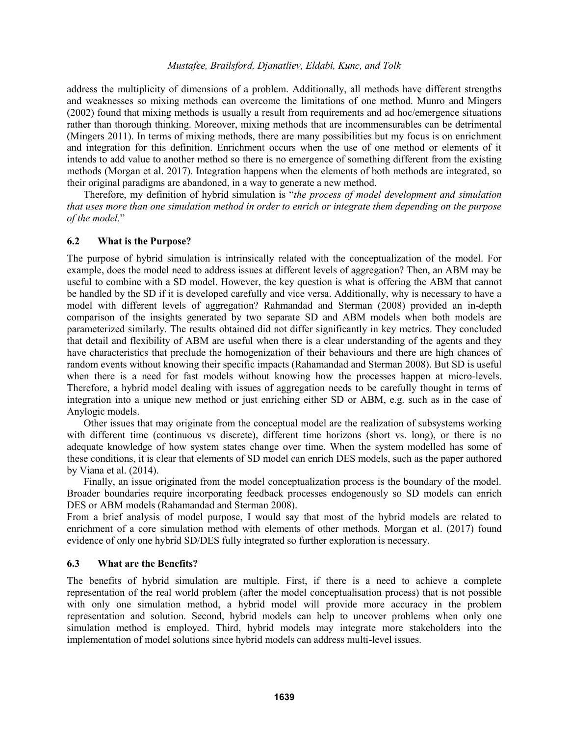address the multiplicity of dimensions of a problem. Additionally, all methods have different strengths and weaknesses so mixing methods can overcome the limitations of one method. Munro and Mingers (2002) found that mixing methods is usually a result from requirements and ad hoc/emergence situations rather than thorough thinking. Moreover, mixing methods that are incommensurables can be detrimental (Mingers 2011). In terms of mixing methods, there are many possibilities but my focus is on enrichment and integration for this definition. Enrichment occurs when the use of one method or elements of it intends to add value to another method so there is no emergence of something different from the existing methods (Morgan et al. 2017). Integration happens when the elements of both methods are integrated, so their original paradigms are abandoned, in a way to generate a new method.

Therefore, my definition of hybrid simulation is "*the process of model development and simulation that uses more than one simulation method in order to enrich or integrate them depending on the purpose of the model.*"

### **6.2 What is the Purpose?**

The purpose of hybrid simulation is intrinsically related with the conceptualization of the model. For example, does the model need to address issues at different levels of aggregation? Then, an ABM may be useful to combine with a SD model. However, the key question is what is offering the ABM that cannot be handled by the SD if it is developed carefully and vice versa. Additionally, why is necessary to have a model with different levels of aggregation? Rahmandad and Sterman (2008) provided an in-depth comparison of the insights generated by two separate SD and ABM models when both models are parameterized similarly. The results obtained did not differ significantly in key metrics. They concluded that detail and flexibility of ABM are useful when there is a clear understanding of the agents and they have characteristics that preclude the homogenization of their behaviours and there are high chances of random events without knowing their specific impacts (Rahamandad and Sterman 2008). But SD is useful when there is a need for fast models without knowing how the processes happen at micro-levels. Therefore, a hybrid model dealing with issues of aggregation needs to be carefully thought in terms of integration into a unique new method or just enriching either SD or ABM, e.g. such as in the case of Anylogic models.

Other issues that may originate from the conceptual model are the realization of subsystems working with different time (continuous vs discrete), different time horizons (short vs. long), or there is no adequate knowledge of how system states change over time. When the system modelled has some of these conditions, it is clear that elements of SD model can enrich DES models, such as the paper authored by Viana et al. (2014).

Finally, an issue originated from the model conceptualization process is the boundary of the model. Broader boundaries require incorporating feedback processes endogenously so SD models can enrich DES or ABM models (Rahamandad and Sterman 2008).

From a brief analysis of model purpose, I would say that most of the hybrid models are related to enrichment of a core simulation method with elements of other methods. Morgan et al. (2017) found evidence of only one hybrid SD/DES fully integrated so further exploration is necessary.

### **6.3 What are the Benefits?**

The benefits of hybrid simulation are multiple. First, if there is a need to achieve a complete representation of the real world problem (after the model conceptualisation process) that is not possible with only one simulation method, a hybrid model will provide more accuracy in the problem representation and solution. Second, hybrid models can help to uncover problems when only one simulation method is employed. Third, hybrid models may integrate more stakeholders into the implementation of model solutions since hybrid models can address multi-level issues.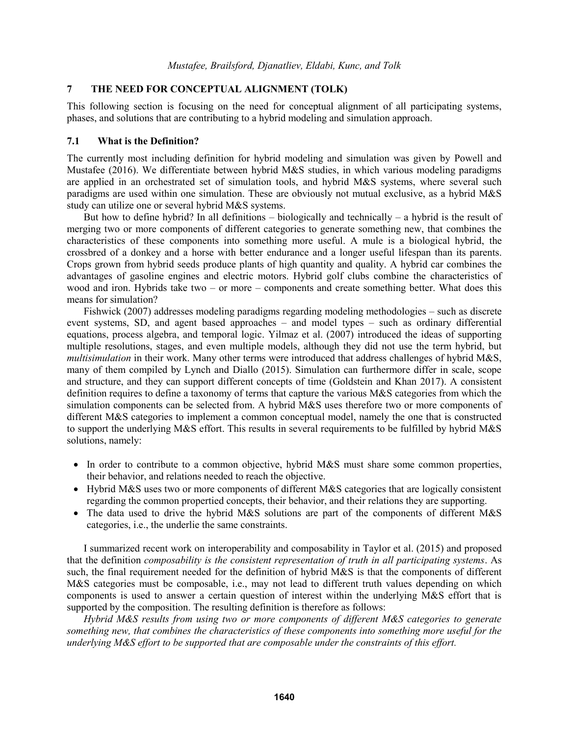### **7 THE NEED FOR CONCEPTUAL ALIGNMENT (TOLK)**

This following section is focusing on the need for conceptual alignment of all participating systems, phases, and solutions that are contributing to a hybrid modeling and simulation approach.

### **7.1 What is the Definition?**

The currently most including definition for hybrid modeling and simulation was given by Powell and Mustafee (2016). We differentiate between hybrid M&S studies, in which various modeling paradigms are applied in an orchestrated set of simulation tools, and hybrid M&S systems, where several such paradigms are used within one simulation. These are obviously not mutual exclusive, as a hybrid M&S study can utilize one or several hybrid M&S systems.

But how to define hybrid? In all definitions – biologically and technically – a hybrid is the result of merging two or more components of different categories to generate something new, that combines the characteristics of these components into something more useful. A mule is a biological hybrid, the crossbred of a donkey and a horse with better endurance and a longer useful lifespan than its parents. Crops grown from hybrid seeds produce plants of high quantity and quality. A hybrid car combines the advantages of gasoline engines and electric motors. Hybrid golf clubs combine the characteristics of wood and iron. Hybrids take two – or more – components and create something better. What does this means for simulation?

Fishwick (2007) addresses modeling paradigms regarding modeling methodologies – such as discrete event systems, SD, and agent based approaches – and model types – such as ordinary differential equations, process algebra, and temporal logic. Yilmaz et al. (2007) introduced the ideas of supporting multiple resolutions, stages, and even multiple models, although they did not use the term hybrid, but *multisimulation* in their work. Many other terms were introduced that address challenges of hybrid M&S, many of them compiled by Lynch and Diallo (2015). Simulation can furthermore differ in scale, scope and structure, and they can support different concepts of time (Goldstein and Khan 2017). A consistent definition requires to define a taxonomy of terms that capture the various M&S categories from which the simulation components can be selected from. A hybrid M&S uses therefore two or more components of different M&S categories to implement a common conceptual model, namely the one that is constructed to support the underlying M&S effort. This results in several requirements to be fulfilled by hybrid M&S solutions, namely:

- In order to contribute to a common objective, hybrid M&S must share some common properties, their behavior, and relations needed to reach the objective.
- Hybrid M&S uses two or more components of different M&S categories that are logically consistent regarding the common propertied concepts, their behavior, and their relations they are supporting.
- The data used to drive the hybrid M&S solutions are part of the components of different M&S categories, i.e., the underlie the same constraints.

I summarized recent work on interoperability and composability in Taylor et al. (2015) and proposed that the definition *composability is the consistent representation of truth in all participating systems*. As such, the final requirement needed for the definition of hybrid M&S is that the components of different M&S categories must be composable, i.e., may not lead to different truth values depending on which components is used to answer a certain question of interest within the underlying M&S effort that is supported by the composition. The resulting definition is therefore as follows:

*Hybrid M&S results from using two or more components of different M&S categories to generate something new, that combines the characteristics of these components into something more useful for the underlying M&S effort to be supported that are composable under the constraints of this effort.*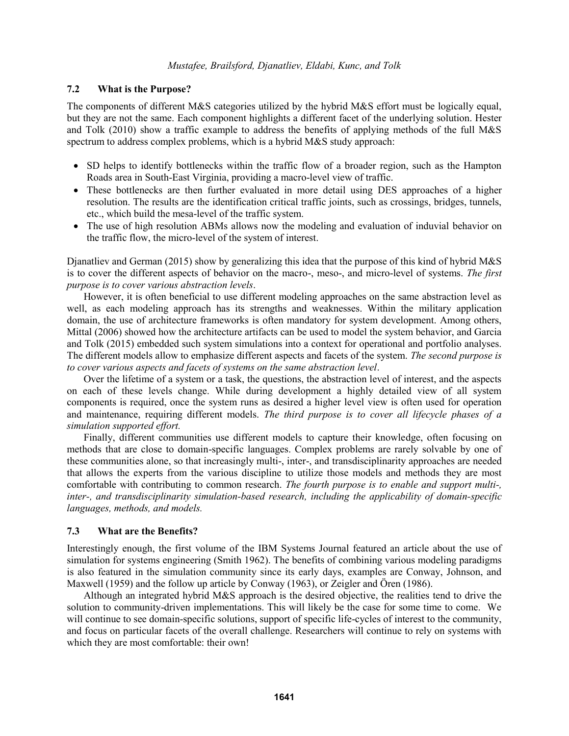## **7.2 What is the Purpose?**

The components of different M&S categories utilized by the hybrid M&S effort must be logically equal, but they are not the same. Each component highlights a different facet of the underlying solution. Hester and Tolk (2010) show a traffic example to address the benefits of applying methods of the full M&S spectrum to address complex problems, which is a hybrid M&S study approach:

- SD helps to identify bottlenecks within the traffic flow of a broader region, such as the Hampton Roads area in South-East Virginia, providing a macro-level view of traffic.
- These bottlenecks are then further evaluated in more detail using DES approaches of a higher resolution. The results are the identification critical traffic joints, such as crossings, bridges, tunnels, etc., which build the mesa-level of the traffic system.
- The use of high resolution ABMs allows now the modeling and evaluation of induvial behavior on the traffic flow, the micro-level of the system of interest.

Djanatliev and German (2015) show by generalizing this idea that the purpose of this kind of hybrid M&S is to cover the different aspects of behavior on the macro-, meso-, and micro-level of systems. *The first purpose is to cover various abstraction levels*.

However, it is often beneficial to use different modeling approaches on the same abstraction level as well, as each modeling approach has its strengths and weaknesses. Within the military application domain, the use of architecture frameworks is often mandatory for system development. Among others, Mittal (2006) showed how the architecture artifacts can be used to model the system behavior, and Garcia and Tolk (2015) embedded such system simulations into a context for operational and portfolio analyses. The different models allow to emphasize different aspects and facets of the system. *The second purpose is to cover various aspects and facets of systems on the same abstraction level*.

Over the lifetime of a system or a task, the questions, the abstraction level of interest, and the aspects on each of these levels change. While during development a highly detailed view of all system components is required, once the system runs as desired a higher level view is often used for operation and maintenance, requiring different models. *The third purpose is to cover all lifecycle phases of a simulation supported effort.*

Finally, different communities use different models to capture their knowledge, often focusing on methods that are close to domain-specific languages. Complex problems are rarely solvable by one of these communities alone, so that increasingly multi-, inter-, and transdisciplinarity approaches are needed that allows the experts from the various discipline to utilize those models and methods they are most comfortable with contributing to common research. *The fourth purpose is to enable and support multi-, inter-, and transdisciplinarity simulation-based research, including the applicability of domain-specific languages, methods, and models.* 

## **7.3 What are the Benefits?**

Interestingly enough, the first volume of the IBM Systems Journal featured an article about the use of simulation for systems engineering (Smith 1962). The benefits of combining various modeling paradigms is also featured in the simulation community since its early days, examples are Conway, Johnson, and Maxwell (1959) and the follow up article by Conway (1963), or Zeigler and Ören (1986).

Although an integrated hybrid M&S approach is the desired objective, the realities tend to drive the solution to community-driven implementations. This will likely be the case for some time to come. We will continue to see domain-specific solutions, support of specific life-cycles of interest to the community, and focus on particular facets of the overall challenge. Researchers will continue to rely on systems with which they are most comfortable: their own!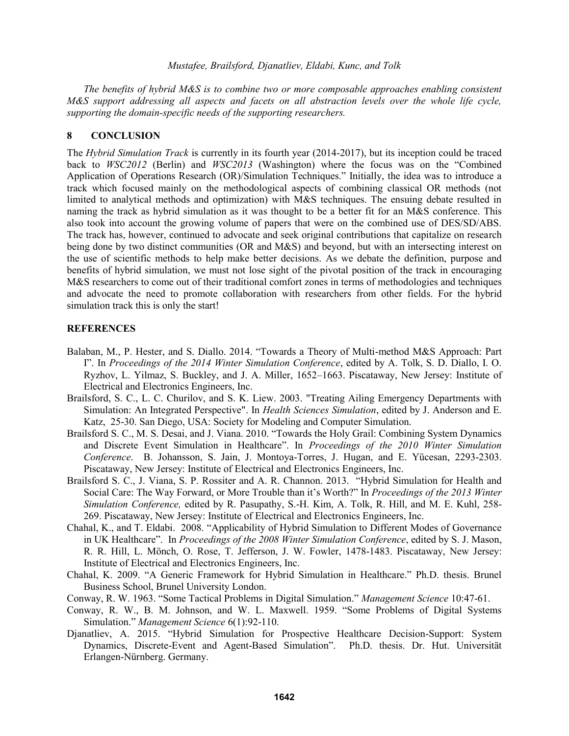*The benefits of hybrid M&S is to combine two or more composable approaches enabling consistent M&S support addressing all aspects and facets on all abstraction levels over the whole life cycle, supporting the domain-specific needs of the supporting researchers.*

### **8 CONCLUSION**

The *Hybrid Simulation Track* is currently in its fourth year (2014-2017), but its inception could be traced back to *WSC2012* (Berlin) and *WSC2013* (Washington) where the focus was on the "Combined Application of Operations Research (OR)/Simulation Techniques." Initially, the idea was to introduce a track which focused mainly on the methodological aspects of combining classical OR methods (not limited to analytical methods and optimization) with M&S techniques. The ensuing debate resulted in naming the track as hybrid simulation as it was thought to be a better fit for an M&S conference. This also took into account the growing volume of papers that were on the combined use of DES/SD/ABS. The track has, however, continued to advocate and seek original contributions that capitalize on research being done by two distinct communities (OR and M&S) and beyond, but with an intersecting interest on the use of scientific methods to help make better decisions. As we debate the definition, purpose and benefits of hybrid simulation, we must not lose sight of the pivotal position of the track in encouraging M&S researchers to come out of their traditional comfort zones in terms of methodologies and techniques and advocate the need to promote collaboration with researchers from other fields. For the hybrid simulation track this is only the start!

### **REFERENCES**

- Balaban, M., P. Hester, and S. Diallo. 2014. "Towards a Theory of Multi-method M&S Approach: Part I". In *Proceedings of the 2014 Winter Simulation Conference*, edited by A. Tolk, S. D. Diallo, I. O. Ryzhov, L. Yilmaz, S. Buckley, and J. A. Miller, 1652–1663. Piscataway, New Jersey: Institute of Electrical and Electronics Engineers, Inc.
- Brailsford, S. C., L. C. Churilov, and S. K. Liew. 2003. "Treating Ailing Emergency Departments with Simulation: An Integrated Perspective". In *Health Sciences Simulation*, edited by J. Anderson and E. Katz, 25-30. San Diego, USA: Society for Modeling and Computer Simulation.
- Brailsford S. C., M. S. Desai, and J. Viana. 2010. "Towards the Holy Grail: Combining System Dynamics and Discrete Event Simulation in Healthcare". In *Proceedings of the 2010 Winter Simulation Conference*. B. Johansson, S. Jain, J. Montoya-Torres, J. Hugan, and E. Yücesan, 2293-2303. Piscataway, New Jersey: Institute of Electrical and Electronics Engineers, Inc.
- Brailsford S. C., J. Viana, S. P. Rossiter and A. R. Channon. 2013. "Hybrid Simulation for Health and Social Care: The Way Forward, or More Trouble than it's Worth?" In *Proceedings of the 2013 Winter Simulation Conference,* edited by R. Pasupathy, S.-H. Kim, A. Tolk, R. Hill, and M. E. Kuhl, 258- 269. Piscataway, New Jersey: Institute of Electrical and Electronics Engineers, Inc.
- Chahal, K., and T. Eldabi. 2008. "Applicability of Hybrid Simulation to Different Modes of Governance in UK Healthcare". In *Proceedings of the 2008 Winter Simulation Conference*, edited by S. J. Mason, R. R. Hill, L. Mönch, O. Rose, T. Jefferson, J. W. Fowler, 1478-1483. Piscataway, New Jersey: Institute of Electrical and Electronics Engineers, Inc.
- Chahal, K. 2009. "A Generic Framework for Hybrid Simulation in Healthcare." Ph.D. thesis. Brunel Business School, Brunel University London.
- Conway, R. W. 1963. "Some Tactical Problems in Digital Simulation." *Management Science* 10:47-61.
- Conway, R. W., B. M. Johnson, and W. L. Maxwell. 1959. "Some Problems of Digital Systems Simulation." *Management Science* 6(1):92-110.
- Djanatliev, A. 2015. "Hybrid Simulation for Prospective Healthcare Decision-Support: System Dynamics, Discrete-Event and Agent-Based Simulation". Ph.D. thesis. Dr. Hut. Universität Erlangen-Nürnberg. Germany.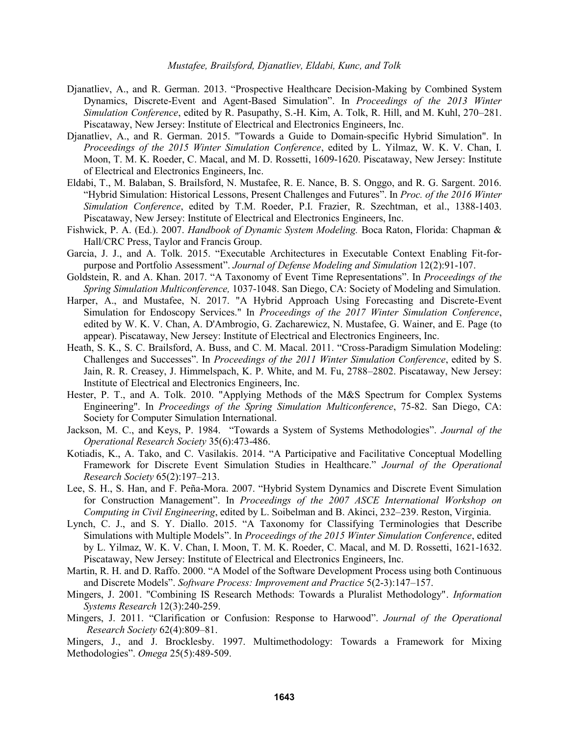- Djanatliev, A., and R. German. 2013. "Prospective Healthcare Decision-Making by Combined System Dynamics, Discrete-Event and Agent-Based Simulation". In *Proceedings of the 2013 Winter Simulation Conference*, edited by R. Pasupathy, S.-H. Kim, A. Tolk, R. Hill, and M. Kuhl, 270–281. Piscataway, New Jersey: Institute of Electrical and Electronics Engineers, Inc.
- Djanatliev, A., and R. German. 2015. "Towards a Guide to Domain-specific Hybrid Simulation". In *Proceedings of the 2015 Winter Simulation Conference*, edited by L. Yilmaz, W. K. V. Chan, I. Moon, T. M. K. Roeder, C. Macal, and M. D. Rossetti, 1609-1620. Piscataway, New Jersey: Institute of Electrical and Electronics Engineers, Inc.
- Eldabi, T., M. Balaban, S. Brailsford, N. Mustafee, R. E. Nance, B. S. Onggo, and R. G. Sargent. 2016. "Hybrid Simulation: Historical Lessons, Present Challenges and Futures". In *Proc. of the 2016 Winter Simulation Conference*, edited by T.M. Roeder, P.I. Frazier, R. Szechtman, et al., 1388-1403. Piscataway, New Jersey: Institute of Electrical and Electronics Engineers, Inc.
- Fishwick, P. A. (Ed.). 2007. *Handbook of Dynamic System Modeling.* Boca Raton, Florida: Chapman & Hall/CRC Press, Taylor and Francis Group.
- Garcia, J. J., and A. Tolk. 2015. "Executable Architectures in Executable Context Enabling Fit-forpurpose and Portfolio Assessment". *Journal of Defense Modeling and Simulation* 12(2):91-107.
- Goldstein, R. and A. Khan. 2017. "A Taxonomy of Event Time Representations". In *Proceedings of the Spring Simulation Multiconference,* 1037-1048. San Diego, CA: Society of Modeling and Simulation.
- Harper, A., and Mustafee, N. 2017. "A Hybrid Approach Using Forecasting and Discrete-Event Simulation for Endoscopy Services." In *Proceedings of the 2017 Winter Simulation Conference*, edited by W. K. V. Chan, A. D'Ambrogio, G. Zacharewicz, N. Mustafee, G. Wainer, and E. Page (to appear). Piscataway, New Jersey: Institute of Electrical and Electronics Engineers, Inc.
- Heath, S. K., S. C. Brailsford, A. Buss, and C. M. Macal. 2011. "Cross-Paradigm Simulation Modeling: Challenges and Successes". In *Proceedings of the 2011 Winter Simulation Conference*, edited by S. Jain, R. R. Creasey, J. Himmelspach, K. P. White, and M. Fu, 2788–2802. Piscataway, New Jersey: Institute of Electrical and Electronics Engineers, Inc.
- Hester, P. T., and A. Tolk. 2010. "Applying Methods of the M&S Spectrum for Complex Systems Engineering". In *Proceedings of the Spring Simulation Multiconference*, 75-82. San Diego, CA: Society for Computer Simulation International.
- Jackson, M. C., and Keys, P. 1984. "Towards a System of Systems Methodologies". *Journal of the Operational Research Society* 35(6):473-486.
- Kotiadis, K., A. Tako, and C. Vasilakis. 2014. "A Participative and Facilitative Conceptual Modelling Framework for Discrete Event Simulation Studies in Healthcare." *Journal of the Operational Research Society* 65(2):197–213.
- Lee, S. H., S. Han, and F. Peña-Mora. 2007. "Hybrid System Dynamics and Discrete Event Simulation for Construction Management". In *Proceedings of the 2007 ASCE International Workshop on Computing in Civil Engineering*, edited by L. Soibelman and B. Akinci, 232–239. Reston, Virginia.
- Lynch, C. J., and S. Y. Diallo. 2015. "A Taxonomy for Classifying Terminologies that Describe Simulations with Multiple Models". In *Proceedings of the 2015 Winter Simulation Conference*, edited by L. Yilmaz, W. K. V. Chan, I. Moon, T. M. K. Roeder, C. Macal, and M. D. Rossetti, 1621-1632. Piscataway, New Jersey: Institute of Electrical and Electronics Engineers, Inc.
- Martin, R. H. and D. Raffo. 2000. "A Model of the Software Development Process using both Continuous and Discrete Models". *Software Process: Improvement and Practice* 5(2-3):147–157.
- Mingers, J. 2001. "Combining IS Research Methods: Towards a Pluralist Methodology". *Information Systems Research* 12(3):240-259.
- Mingers, J. 2011. "Clarification or Confusion: Response to Harwood". *Journal of the Operational Research Society* 62(4):809–81.

Mingers, J., and J. Brocklesby. 1997. Multimethodology: Towards a Framework for Mixing Methodologies". *Omega* 25(5):489-509.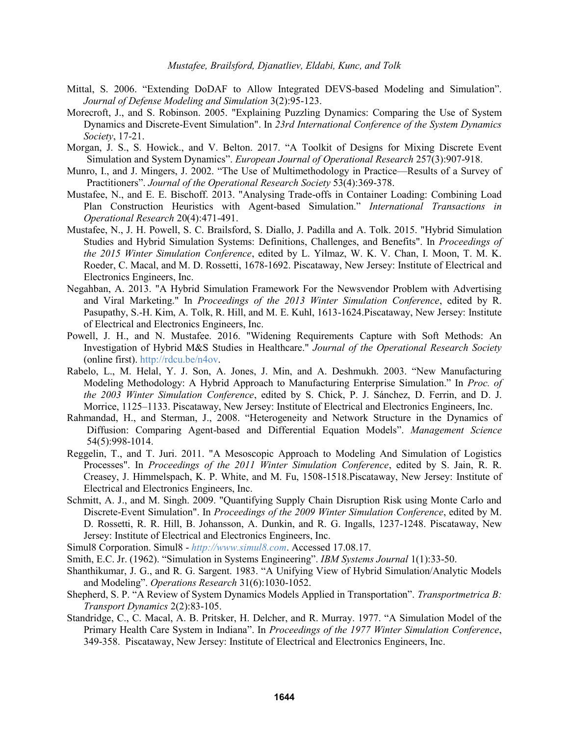- Mittal, S. 2006. "Extending DoDAF to Allow Integrated DEVS-based Modeling and Simulation". *Journal of Defense Modeling and Simulation* 3(2):95-123.
- Morecroft, J., and S. Robinson. 2005. "Explaining Puzzling Dynamics: Comparing the Use of System Dynamics and Discrete-Event Simulation". In *23rd International Conference of the System Dynamics Society*, 17-21.
- Morgan, J. S., S. Howick., and V. Belton. 2017. "A Toolkit of Designs for Mixing Discrete Event Simulation and System Dynamics". *European Journal of Operational Research* 257(3):907-918.
- Munro, I., and J. Mingers, J. 2002. "The Use of Multimethodology in Practice—Results of a Survey of Practitioners". *Journal of the Operational Research Society* 53(4):369-378.
- Mustafee, N., and E. E. Bischoff. 2013. "Analysing Trade-offs in Container Loading: Combining Load Plan Construction Heuristics with Agent-based Simulation." *International Transactions in Operational Research* 20(4):471-491.
- Mustafee, N., J. H. Powell, S. C. Brailsford, S. Diallo, J. Padilla and A. Tolk. 2015. "Hybrid Simulation Studies and Hybrid Simulation Systems: Definitions, Challenges, and Benefits". In *Proceedings of the 2015 Winter Simulation Conference*, edited by L. Yilmaz, W. K. V. Chan, I. Moon, T. M. K. Roeder, C. Macal, and M. D. Rossetti, 1678-1692. Piscataway, New Jersey: Institute of Electrical and Electronics Engineers, Inc.
- Negahban, A. 2013. "A Hybrid Simulation Framework For the Newsvendor Problem with Advertising and Viral Marketing." In *Proceedings of the 2013 Winter Simulation Conference*, edited by R. Pasupathy, S.-H. Kim, A. Tolk, R. Hill, and M. E. Kuhl, 1613-1624.Piscataway, New Jersey: Institute of Electrical and Electronics Engineers, Inc.
- Powell, J. H., and N. Mustafee. 2016. "Widening Requirements Capture with Soft Methods: An Investigation of Hybrid M&S Studies in Healthcare." *Journal of the Operational Research Society* (online first). http://rdcu.be/n4ov.
- Rabelo, L., M. Helal, Y. J. Son, A. Jones, J. Min, and A. Deshmukh. 2003. "New Manufacturing Modeling Methodology: A Hybrid Approach to Manufacturing Enterprise Simulation." In *Proc. of the 2003 Winter Simulation Conference*, edited by S. Chick, P. J. Sánchez, D. Ferrin, and D. J. Morrice, 1125–1133. Piscataway, New Jersey: Institute of Electrical and Electronics Engineers, Inc.
- Rahmandad, H., and Sterman, J., 2008. "Heterogeneity and Network Structure in the Dynamics of Diffusion: Comparing Agent-based and Differential Equation Models". *Management Science* 54(5):998-1014.
- Reggelin, T., and T. Juri. 2011. "A Mesoscopic Approach to Modeling And Simulation of Logistics Processes". In *Proceedings of the 2011 Winter Simulation Conference*, edited by S. Jain, R. R. Creasey, J. Himmelspach, K. P. White, and M. Fu, 1508-1518.Piscataway, New Jersey: Institute of Electrical and Electronics Engineers, Inc.
- Schmitt, A. J., and M. Singh. 2009. "Quantifying Supply Chain Disruption Risk using Monte Carlo and Discrete-Event Simulation". In *Proceedings of the 2009 Winter Simulation Conference*, edited by M. D. Rossetti, R. R. Hill, B. Johansson, A. Dunkin, and R. G. Ingalls, 1237-1248. Piscataway, New Jersey: Institute of Electrical and Electronics Engineers, Inc.
- Simul8 Corporation. Simul8 *http://www.simul8.com*. Accessed 17.08.17.
- Smith, E.C. Jr. (1962). "Simulation in Systems Engineering". *IBM Systems Journal* 1(1):33-50.
- Shanthikumar, J. G., and R. G. Sargent. 1983. "A Unifying View of Hybrid Simulation/Analytic Models and Modeling". *Operations Research* 31(6):1030-1052.
- Shepherd, S. P. "A Review of System Dynamics Models Applied in Transportation". *Transportmetrica B: Transport Dynamics* 2(2):83-105.
- Standridge, C., C. Macal, A. B. Pritsker, H. Delcher, and R. Murray. 1977. "A Simulation Model of the Primary Health Care System in Indiana". In *Proceedings of the 1977 Winter Simulation Conference*, 349-358. Piscataway, New Jersey: Institute of Electrical and Electronics Engineers, Inc.